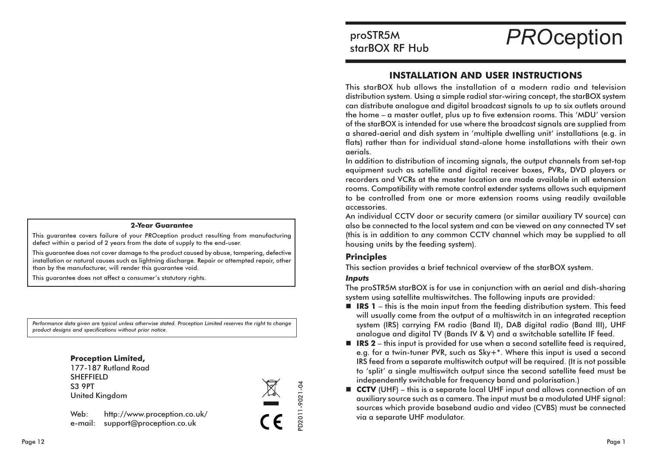#### **2-Year Guarantee**

This guarantee covers failure of your PROception product resulting from manufacturing defect within a period of 2 years from the date of supply to the end-user.

This quarantee does not cover damage to the product caused by abuse, tampering, defective installation or natural causes such as lightning discharge. Repair or attempted repair, other than by the manufacturer, will render this guarantee void.

This guarantee does not affect a consumer's statutory rights.

Performance data given are typical unless otherwise stated. Proception Limited reserves the right to change product designs and specifications without prior notice.



# proSTR5M starBOX RF Hub

**PROception** 

## **INSTALLATION AND USER INSTRUCTIONS**

This starBOX hub allows the installation of a modern radio and television distribution system. Using a simple radial star-wiring concept, the starBOX system can distribute analogue and digital broadcast signals to up to six outlets around the home - a master outlet, plus up to five extension rooms. This 'MDU' version of the starBOX is intended for use where the broadcast signals are supplied from a shared-aerial and dish system in 'multiple dwelling unit' installations (e.g. in flats) rather than for individual stand-alone home installations with their own aerials.

In addition to distribution of incoming signals, the output channels from set-top equipment such as satellite and digital receiver boxes, PVRs, DVD players or recorders and VCRs at the master location are made available in all extension rooms. Compatibility with remote control extender systems allows such equipment to be controlled from one or more extension rooms using readily available accessories.

An individual CCTV door or security camera (or similar auxiliary TV source) can also be connected to the local system and can be viewed on any connected TV set (this is in addition to any common CCTV channel which may be supplied to all housing units by the feeding system).

## **Principles**

This section provides a brief technical overview of the starBOX system.

#### **Inputs**

D2011-9021-04

 $c \in$ 

The proSTR5M starBOX is for use in conjunction with an aerial and dish-sharing system using satellite multiswitches. The following inputs are provided:

- $\blacksquare$  **IRS 1** this is the main input from the feeding distribution system. This feed will usually come from the output of a multiswitch in an integrated reception system (IRS) carrying FM radio (Band II), DAB digital radio (Band III), UHF analogue and digital TV (Bands IV & V) and a switchable satellite IF feed.
- $\blacksquare$  **IRS 2** this input is provided for use when a second satellite feed is required, e.g. for a twin-tuner PVR, such as Sky+\*. Where this input is used a second IRS feed from a separate multiswitch output will be required. (It is not possible to 'split' a single multiswitch output since the second satellite feed must be independently switchable for frequency band and polarisation.)
- **CCTV** (UHF) this is a separate local UHF input and allows connection of an auxiliary source such as a camera. The input must be a modulated UHF signal: sources which provide baseband audio and video (CVBS) must be connected via a separate UHF modulator.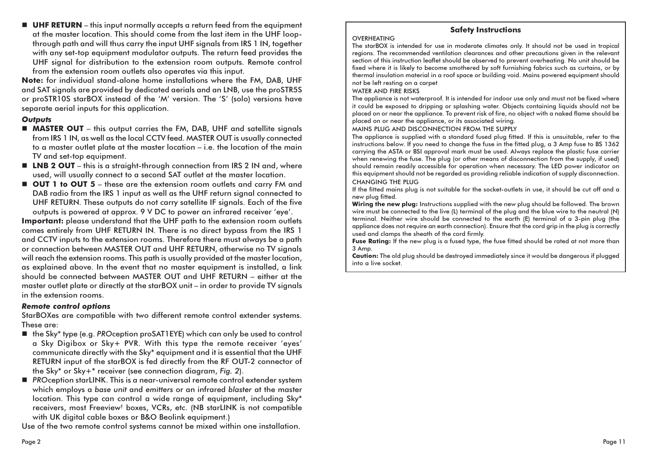**UHF RETURN** – this input normally accepts a return feed from the equipment at the master location. This should come from the last item in the UHF loopthrough path and will thus carry the input UHF signals from IRS 1 IN, together with any set-top equipment modulator outputs. The return feed provides the UHF signal for distribution to the extension room outputs. Remote control from the extension room outlets also operates via this input.

Note: for individual stand-alone home installations where the FM, DAB, UHF and SAT signals are provided by dedicated aerials and an LNB, use the proSTR5S or proSTR10S starBOX instead of the 'M' version. The 'S' (solo) versions have separate aerial inputs for this application.

## **Outputs**

- **MASTER OUT** this output carries the FM, DAB, UHF and satellite signals from IRS 1 IN, as well as the local CCTV feed. MASTER OUT is usually connected to a master outlet plate at the master location – i.e. the location of the main TV and set-top equipment.
- **ELNB 2 OUT** this is a straight-through connection from IRS 2 IN and, where used, will usually connect to a second SAT outlet at the master location.
- OUT 1 to OUT 5 these are the extension room outlets and carry FM and DAB radio from the IRS 1 input as well as the UHF return signal connected to UHF RETURN. These outputs do not carry satellite IF signals. Each of the five outputs is powered at approx. 9 V DC to power an infrared receiver 'eye'.

Important: please understand that the UHF path to the extension room outlets comes entirely from UHF RETURN IN. There is no direct bypass from the IRS 1 and CCTV inputs to the extension rooms. Therefore there must always be a path or connection between MASTER OUT and UHF RETURN, otherwise no TV signals will reach the extension rooms. This path is usually provided at the master location, as explained above. In the event that no master equipment is installed, a link should be connected between MASTER OUT and UHF RETURN - either at the master outlet plate or directly at the starBOX unit - in order to provide TV signals in the extension rooms.

## **Remote control options**

StarBOXes are compatible with two different remote control extender systems. These are:

- the Sky\* type (e.g. PROception proSAT1EYE) which can only be used to control a Sky Digibox or Sky+ PVR. With this type the remote receiver 'eyes' communicate directly with the Sky\* equipment and it is essential that the UHF RETURN input of the starBOX is fed directly from the RF OUT-2 connector of the Sky\* or Sky+\* receiver (see connection diagram, Fig. 2).
- PROception starLINK. This is a near-universal remote control extender system which employs a base unit and emitters or an infrared blaster at the master location. This type can control a wide range of equipment, including Sky\* receivers, most Freeview<sup>t</sup> boxes, VCRs, etc. (NB starLINK is not compatible with UK digital cable boxes or B&O Beolink equipment.)

Use of the two remote control systems cannot be mixed within one installation.

## **Safety Instructions**

### **OVERHEATING**

The starBOX is intended for use in moderate climates only. It should not be used in tropical regions. The recommended ventilation clearances and other precautions given in the relevant section of this instruction leaflet should be observed to prevent overheating. No unit should be fixed where it is likely to become smothered by soft furnishing fabrics such as curtains, or by thermal insulation material in a roof space or building void. Mains powered equipment should not be left resting on a carpet

#### **WATER AND FIRE RISKS**

The appliance is not waterproof. It is intended for indoor use only and must not be fixed where it could be exposed to dripping or splashing water. Objects containing liquids should not be placed on or near the appliance. To prevent risk of fire, no object with a naked flame should be placed on or near the appliance, or its associated wiring.

MAINS PLUG AND DISCONNECTION FROM THE SUPPLY

The appliance is supplied with a standard fused plug fitted. If this is unsuitable, refer to the instructions below. If you need to change the fuse in the fitted plug, a 3 Amp fuse to BS 1362 carrying the ASTA or BSI approval mark must be used. Always replace the plastic fuse carrier when renewing the fuse. The plug (or other means of disconnection from the supply, if used) should remain readily accessible for operation when necessary. The LED power indicator on this equipment should not be regarded as providing reliable indication of supply disconnection. **CHANGING THE PLUG** 

If the fitted mains plug is not suitable for the socket-outlets in use, it should be cut off and a new plug fitted.

Wiring the new plug: Instructions supplied with the new plug should be followed. The brown wire must be connected to the live (L) terminal of the plug and the blue wire to the neutral (N) terminal. Neither wire should be connected to the earth (E) terminal of a 3-pin plug (the appliance does not require an earth connection). Ensure that the cord grip in the plug is correctly used and clamps the sheath of the cord firmly.

Fuse Rating: If the new plug is a fused type, the fuse fitted should be rated at not more than 3 Amp.

Caution: The old plug should be destroyed immediately since it would be dangerous if plugged into a live socket.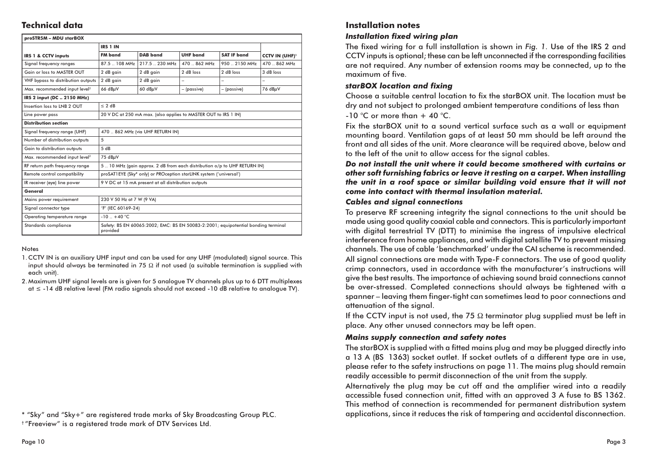## **Technical data**

| proSTR5M - MDU starBOX                    |                                                                                               |                 |                          |                |                                  |
|-------------------------------------------|-----------------------------------------------------------------------------------------------|-----------------|--------------------------|----------------|----------------------------------|
|                                           | IRS 1 IN                                                                                      |                 |                          |                |                                  |
| IRS 1 & CCTV inputs                       | <b>FM</b> band                                                                                | DAB band        | <b>UHF</b> band          | SAT IF band    | <b>CCTV IN (UHF)<sup>1</sup></b> |
| Signal frequency ranges                   | 87.5 . 108 MHz                                                                                | 217.5 . 230 MHz | 470  862 MHz             | 950 . 2150 MHz | 470  862 MHz                     |
| Gain or loss to MASTER OUT                | 2 dB gain                                                                                     | 2 dB gain       | 2 dB loss                | 2 dB loss      | 3 dB loss                        |
| VHF bypass to distribution outputs        | 2 dB gain                                                                                     | 2 dB gain       | $\overline{\phantom{0}}$ |                |                                  |
| Max. recommended input level <sup>2</sup> | 66 dBuV                                                                                       | 60 dBuV         | – (passive)              | – (passive)    | 76 dBuV                          |
| IRS 2 input (DC  2150 MHz)                |                                                                                               |                 |                          |                |                                  |
| Insertion loss to LNB 2 OUT               | $\leq$ 2 dB                                                                                   |                 |                          |                |                                  |
| Line power pass                           | 20 V DC at 250 mA max. (also applies to MASTER OUT to IRS 1 IN)                               |                 |                          |                |                                  |
| <b>Distribution section</b>               |                                                                                               |                 |                          |                |                                  |
| Signal frequency range (UHF)              | 470  862 MHz (via UHF RETURN IN)                                                              |                 |                          |                |                                  |
| Number of distribution outputs            | 5                                                                                             |                 |                          |                |                                  |
| Gain to distribution outputs              | 5 dB                                                                                          |                 |                          |                |                                  |
| Max. recommended input level <sup>2</sup> | 75 $dB\mu V$                                                                                  |                 |                          |                |                                  |
| RF return path frequency range            | 5 10 MHz (gain approx. 2 dB from each distribution o/p to UHF RETURN IN)                      |                 |                          |                |                                  |
| Remote control compatibility              | proSAT1EYE (Sky* only) or PROception starLINK system ('universal')                            |                 |                          |                |                                  |
| IR receiver (eye) line power              | 9 V DC at 15 mA present at all distribution outputs                                           |                 |                          |                |                                  |
| General                                   |                                                                                               |                 |                          |                |                                  |
| Mains power requirement                   | 230 V 50 Hz at 7 W (9 VA)                                                                     |                 |                          |                |                                  |
| Signal connector type                     | 'F' (IEC 60169-24)                                                                            |                 |                          |                |                                  |
| Operating temperature range               | $-10 + 40 °C$                                                                                 |                 |                          |                |                                  |
| Standards compliance                      | Safety: BS EN 60065:2002; EMC: BS EN 50083-2:2001; equipotential bonding terminal<br>provided |                 |                          |                |                                  |

#### Notes

- 1. CCTV IN is an auxiliary UHF input and can be used for any UHF (modulated) signal source. This input should always be terminated in 75  $\Omega$  if not used (a suitable termination is supplied with each unit)
- 2. Maximum UHF signal levels are is given for 5 analogue TV channels plus up to 6 DTT multiplexes  $at \le -14$  dB relative level (FM radio signals should not exceed -10 dB relative to analogue TV).

## **Installation notes**

## **Installation fixed wiring plan**

The fixed wiring for a full installation is shown in Fig. 1. Use of the IRS 2 and CCTV inputs is optional; these can be left unconnected if the corresponding facilities are not required. Any number of extension rooms may be connected, up to the maximum of five.

## starBOX location and fixina

Choose a suitable central location to fix the starBOX unit. The location must be dry and not subject to prolonged ambient temperature conditions of less than -10 °C or more than + 40 °C.

Fix the starBOX unit to a sound vertical surface such as a wall or equipment mounting board. Ventilation gaps of at least 50 mm should be left around the front and all sides of the unit. More clearance will be required above, below and to the left of the unit to allow access for the signal cables.

Do not install the unit where it could become smothered with curtains or other soft furnishing fabrics or leave it resting on a carpet. When installing the unit in a roof space or similar building void ensure that it will not come into contact with thermal insulation material.

#### **Cables and sianal connections**

To preserve RF screening integrity the signal connections to the unit should be made using good quality coaxial cable and connectors. This is particularly important with digital terrestrial TV (DTT) to minimise the ingress of impulsive electrical interference from home appliances, and with digital satellite TV to prevent missing channels. The use of cable 'benchmarked' under the CAI scheme is recommended. All signal connections are made with Type-F connectors. The use of good quality crimp connectors, used in accordance with the manufacturer's instructions will give the best results. The importance of achieving sound braid connections cannot be over-stressed. Completed connections should always be tightened with a spanner – leaving them finger-tight can sometimes lead to poor connections and attenuation of the signal.

If the CCTV input is not used, the 75  $\Omega$  terminator plug supplied must be left in place. Any other unused connectors may be left open.

## **Mains supply connection and safety notes**

The starBOX is supplied with a fitted mains plug and may be plugged directly into a 13 A (BS 1363) socket outlet. If socket outlets of a different type are in use, please refer to the safety instructions on page 11. The mains plug should remain readily accessible to permit disconnection of the unit from the supply.

Alternatively the plug may be cut off and the amplifier wired into a readily accessible fused connection unit, fitted with an approved 3 A fuse to BS 1362. This method of connection is recommended for permanent distribution system applications, since it reduces the risk of tampering and accidental disconnection.

<sup>\* &</sup>quot;Sky" and "Sky+" are registered trade marks of Sky Broadcasting Group PLC.

<sup>&</sup>lt;sup>†</sup> "Freeview" is a registered trade mark of DTV Services Ltd.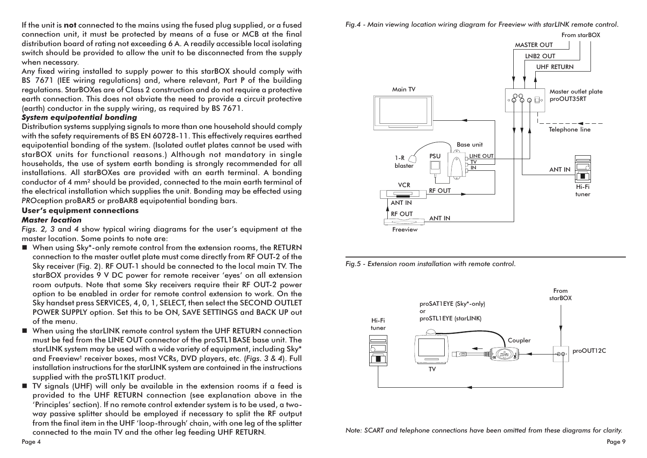If the unit is not connected to the mains using the fused plug supplied, or a fused connection unit, it must be protected by means of a fuse or MCB at the final distribution board of rating not exceeding 6 A. A readily accessible local isolating switch should be provided to allow the unit to be disconnected from the supply when necessary.

Any fixed wiring installed to supply power to this starBOX should comply with BS 7671 (IEE wiring regulations) and, where relevant, Part P of the building regulations. StarBOXes are of Class 2 construction and do not require a protective earth connection. This does not obviate the need to provide a circuit protective (earth) conductor in the supply wiring, as required by BS 7671.

#### **System equipotential bonding**

Distribution systems supplying signals to more than one household should comply with the safety requirements of BS EN 60728-11. This effectively requires earthed equipotential bonding of the system. (Isolated outlet plates cannot be used with starBOX units for functional reasons.) Although not mandatory in single households, the use of system earth bonding is strongly recommended for all installations. All starBOXes are provided with an earth terminal. A bonding conductor of 4 mm<sup>2</sup> should be provided, connected to the main earth terminal of the electrical installation which supplies the unit. Bonding may be effected using PROception proBAR5 or proBAR8 equipotential bonding bars.

#### **User's equipment connections**

#### **Master location**

Figs. 2, 3 and 4 show typical wiring diagrams for the user's equipment at the master location. Some points to note are:

- When using Sky\*-only remote control from the extension rooms, the RETURN connection to the master outlet plate must come directly from RF OUT-2 of the Sky receiver (Fig. 2). RF OUT-1 should be connected to the local main TV. The starBOX provides 9 V DC power for remote receiver 'eyes' on all extension room outputs. Note that some Sky receivers require their RF OUT-2 power option to be enabled in order for remote control extension to work. On the Sky handset press SERVICES, 4, 0, 1, SELECT, then select the SECOND OUTLET POWER SUPPLY option. Set this to be ON, SAVE SETTINGS and BACK UP out of the menu.
- When using the starLINK remote control system the UHF RETURN connection must be fed from the LINE OUT connector of the proSTL1BASE base unit. The starLINK system may be used with a wide variety of equipment, including Sky\* and Freeview<sup>†</sup> receiver boxes, most VCRs, DVD players, etc. (Figs. 3 & 4). Full installation instructions for the starLINK system are contained in the instructions supplied with the proSTL1KIT product.
- TV signals (UHF) will only be available in the extension rooms if a feed is provided to the UHF RETURN connection (see explanation above in the 'Principles' section). If no remote control extender system is to be used, a twoway passive splitter should be employed if necessary to split the RF output from the final item in the UHF 'loop-through' chain, with one leg of the splitter connected to the main TV and the other leg feeding UHF RETURN.





Fig.5 - Extension room installation with remote control.



Note: SCART and telephone connections have been omitted from these diagrams for clarity.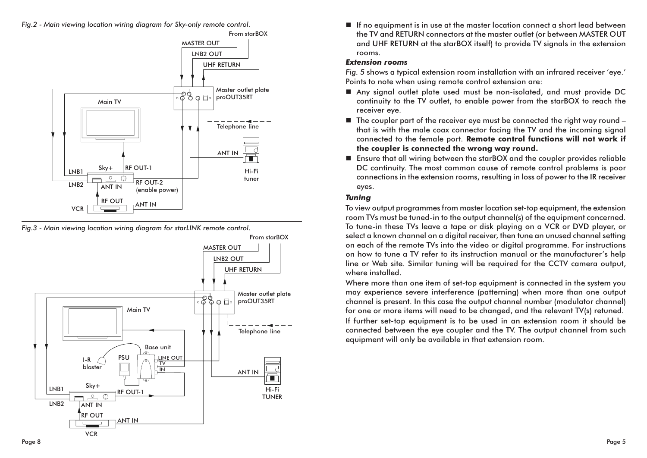

Fig.3 - Main viewing location wiring diagram for starLINK remote control.



If no equipment is in use at the master location connect a short lead between the TV and RETURN connectors at the master outlet (or between MASTER OUT and UHF RETURN at the starBOX itself) to provide TV signals in the extension rooms

## **Extension rooms**

Fig. 5 shows a typical extension room installation with an infrared receiver 'eye.' Points to note when using remote control extension are:

- Any signal outlet plate used must be non-isolated, and must provide DC continuity to the TV outlet, to enable power from the starBOX to reach the receiver eye.
- $\blacksquare$  The coupler part of the receiver eye must be connected the right way round that is with the male coax connector facing the TV and the incoming signal connected to the female port. Remote control functions will not work if the coupler is connected the wrong way round.
- Ensure that all wiring between the starBOX and the coupler provides reliable DC continuity. The most common cause of remote control problems is poor connections in the extension rooms, resulting in loss of power to the IR receiver eyes.

## **Tuning**

To view output programmes from master location set-top equipment, the extension room TVs must be tuned-in to the output channel(s) of the equipment concerned. To tune-in these TVs leave a tape or disk playing on a VCR or DVD player, or select a known channel on a digital receiver, then tune an unused channel setting on each of the remote TVs into the video or digital programme. For instructions on how to tune a TV refer to its instruction manual or the manufacturer's help line or Web site. Similar tuning will be required for the CCTV camera output, where installed.

Where more than one item of set-top equipment is connected in the system you may experience severe interference (patterning) when more than one output channel is present. In this case the output channel number (modulator channel) for one or more items will need to be changed, and the relevant TV(s) retuned.

If further set-top equipment is to be used in an extension room it should be connected between the eye coupler and the TV. The output channel from such equipment will only be available in that extension room.